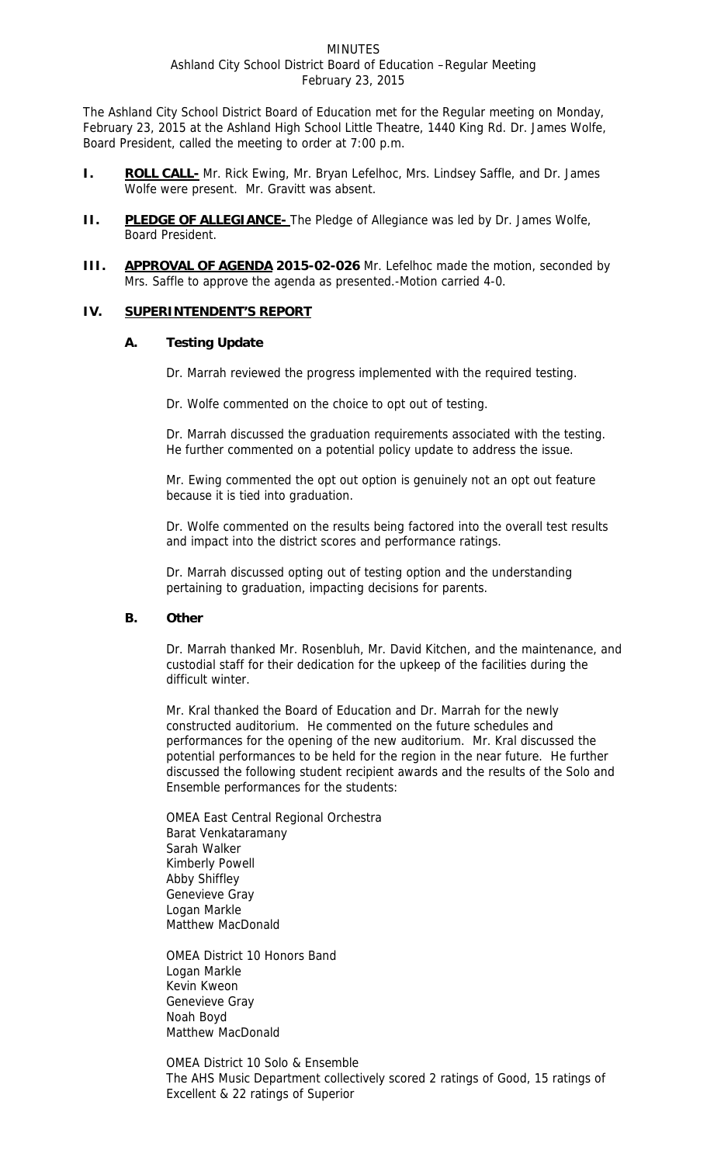The Ashland City School District Board of Education met for the Regular meeting on Monday, February 23, 2015 at the Ashland High School Little Theatre, 1440 King Rd. Dr. James Wolfe, Board President, called the meeting to order at 7:00 p.m.

- **I. ROLL CALL-** Mr. Rick Ewing, Mr. Bryan Lefelhoc, Mrs. Lindsey Saffle, and Dr. James Wolfe were present. Mr. Gravitt was absent.
- **II. PLEDGE OF ALLEGIANCE-** The Pledge of Allegiance was led by Dr. James Wolfe, Board President.
- **III.** APPROVAL OF AGENDA 2015-02-026 Mr. Lefelhoc made the motion, seconded by Mrs. Saffle to approve the agenda as presented.-Motion carried 4-0.

### **IV. SUPERINTENDENT'S REPORT**

### **A. Testing Update**

Dr. Marrah reviewed the progress implemented with the required testing.

Dr. Wolfe commented on the choice to opt out of testing.

Dr. Marrah discussed the graduation requirements associated with the testing. He further commented on a potential policy update to address the issue.

Mr. Ewing commented the opt out option is genuinely not an opt out feature because it is tied into graduation.

Dr. Wolfe commented on the results being factored into the overall test results and impact into the district scores and performance ratings.

Dr. Marrah discussed opting out of testing option and the understanding pertaining to graduation, impacting decisions for parents.

## **B. Other**

Dr. Marrah thanked Mr. Rosenbluh, Mr. David Kitchen, and the maintenance, and custodial staff for their dedication for the upkeep of the facilities during the difficult winter.

Mr. Kral thanked the Board of Education and Dr. Marrah for the newly constructed auditorium. He commented on the future schedules and performances for the opening of the new auditorium. Mr. Kral discussed the potential performances to be held for the region in the near future. He further discussed the following student recipient awards and the results of the Solo and Ensemble performances for the students:

OMEA East Central Regional Orchestra Barat Venkataramany Sarah Walker Kimberly Powell Abby Shiffley Genevieve Gray Logan Markle Matthew MacDonald

OMEA District 10 Honors Band Logan Markle Kevin Kweon Genevieve Gray Noah Boyd Matthew MacDonald

OMEA District 10 Solo & Ensemble The AHS Music Department collectively scored 2 ratings of Good, 15 ratings of Excellent & 22 ratings of Superior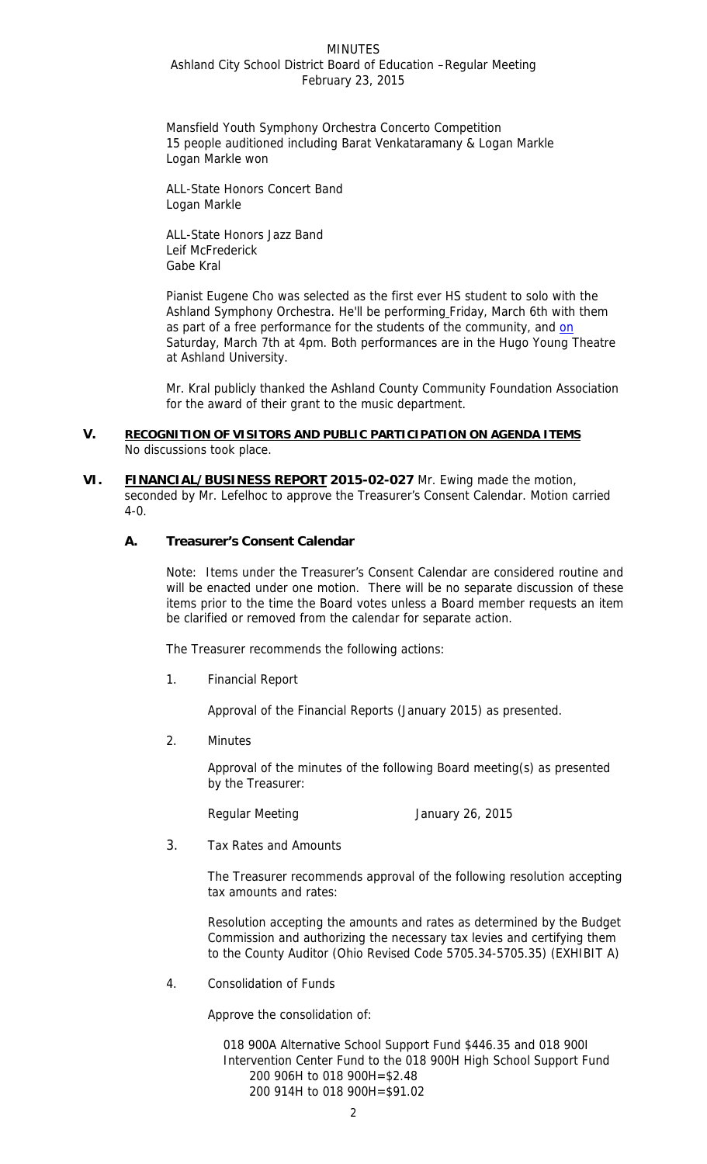Mansfield Youth Symphony Orchestra Concerto Competition 15 people auditioned including Barat Venkataramany & Logan Markle Logan Markle won

ALL-State Honors Concert Band Logan Markle

ALL-State Honors Jazz Band Leif McFrederick Gabe Kral

Pianist Eugene Cho was selected as the first ever HS student to solo with the Ashland Symphony Orchestra. He'll be performing Friday, March 6th with them as part of a free performance for the students of the community, and on Saturday, March 7th at 4pm. Both performances are in the Hugo Young Theatre at Ashland University.

Mr. Kral publicly thanked the Ashland County Community Foundation Association for the award of their grant to the music department.

#### **V. RECOGNITION OF VISITORS AND PUBLIC PARTICIPATION ON AGENDA ITEMS**  No discussions took place.

**VI. FINANCIAL/BUSINESS REPORT 2015-02-027** Mr. Ewing made the motion, seconded by Mr. Lefelhoc to approve the Treasurer's Consent Calendar. Motion carried 4-0.

## **A. Treasurer's Consent Calendar**

Note: Items under the Treasurer's Consent Calendar are considered routine and will be enacted under one motion. There will be no separate discussion of these items prior to the time the Board votes unless a Board member requests an item be clarified or removed from the calendar for separate action.

The Treasurer recommends the following actions:

1. Financial Report

Approval of the Financial Reports (January 2015) as presented.

2. Minutes

 Approval of the minutes of the following Board meeting(s) as presented by the Treasurer:

Regular Meeting **Immuno Communist Communist Communist Communist Communist Communist Communist Communist Communist Communist Communist Communist Communist Communist Communist Communist Communist Communist Communist Communis** 

3. Tax Rates and Amounts

The Treasurer recommends approval of the following resolution accepting tax amounts and rates:

Resolution accepting the amounts and rates as determined by the Budget Commission and authorizing the necessary tax levies and certifying them to the County Auditor (Ohio Revised Code 5705.34-5705.35) (EXHIBIT A)

4. Consolidation of Funds

Approve the consolidation of:

018 900A Alternative School Support Fund \$446.35 and 018 900I Intervention Center Fund to the 018 900H High School Support Fund 200 906H to 018 900H=\$2.48 200 914H to 018 900H=\$91.02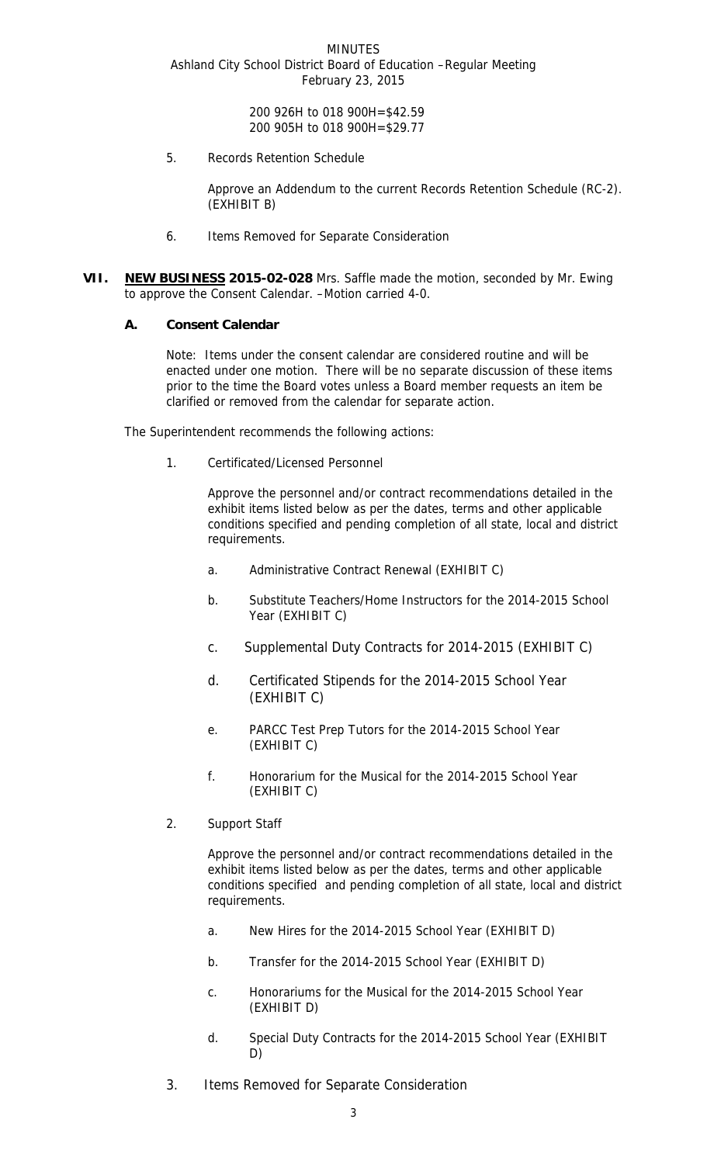> 200 926H to 018 900H=\$42.59 200 905H to 018 900H=\$29.77

5. Records Retention Schedule

Approve an Addendum to the current Records Retention Schedule (RC-2). (EXHIBIT B)

- 6.Items Removed for Separate Consideration
- **VII. NEW BUSINESS 2015-02-028** Mrs. Saffle made the motion, seconded by Mr. Ewing to approve the Consent Calendar. –Motion carried 4-0.

### **A. Consent Calendar**

Note: Items under the consent calendar are considered routine and will be enacted under one motion. There will be no separate discussion of these items prior to the time the Board votes unless a Board member requests an item be clarified or removed from the calendar for separate action.

The Superintendent recommends the following actions:

1. Certificated/Licensed Personnel

Approve the personnel and/or contract recommendations detailed in the exhibit items listed below as per the dates, terms and other applicable conditions specified and pending completion of all state, local and district requirements.

- a. Administrative Contract Renewal (EXHIBIT C)
- b. Substitute Teachers/Home Instructors for the 2014-2015 School Year (EXHIBIT C)
- c. Supplemental Duty Contracts for 2014-2015 (EXHIBIT C)
- d. Certificated Stipends for the 2014-2015 School Year (EXHIBIT C)
- e. PARCC Test Prep Tutors for the 2014-2015 School Year (EXHIBIT C)
- f. Honorarium for the Musical for the 2014-2015 School Year (EXHIBIT C)
- 2. Support Staff

Approve the personnel and/or contract recommendations detailed in the exhibit items listed below as per the dates, terms and other applicable conditions specified and pending completion of all state, local and district requirements.

- a. New Hires for the 2014-2015 School Year (EXHIBIT D)
- b. Transfer for the 2014-2015 School Year (EXHIBIT D)
- c. Honorariums for the Musical for the 2014-2015 School Year (EXHIBIT D)
- d. Special Duty Contracts for the 2014-2015 School Year (EXHIBIT D)
- 3. Items Removed for Separate Consideration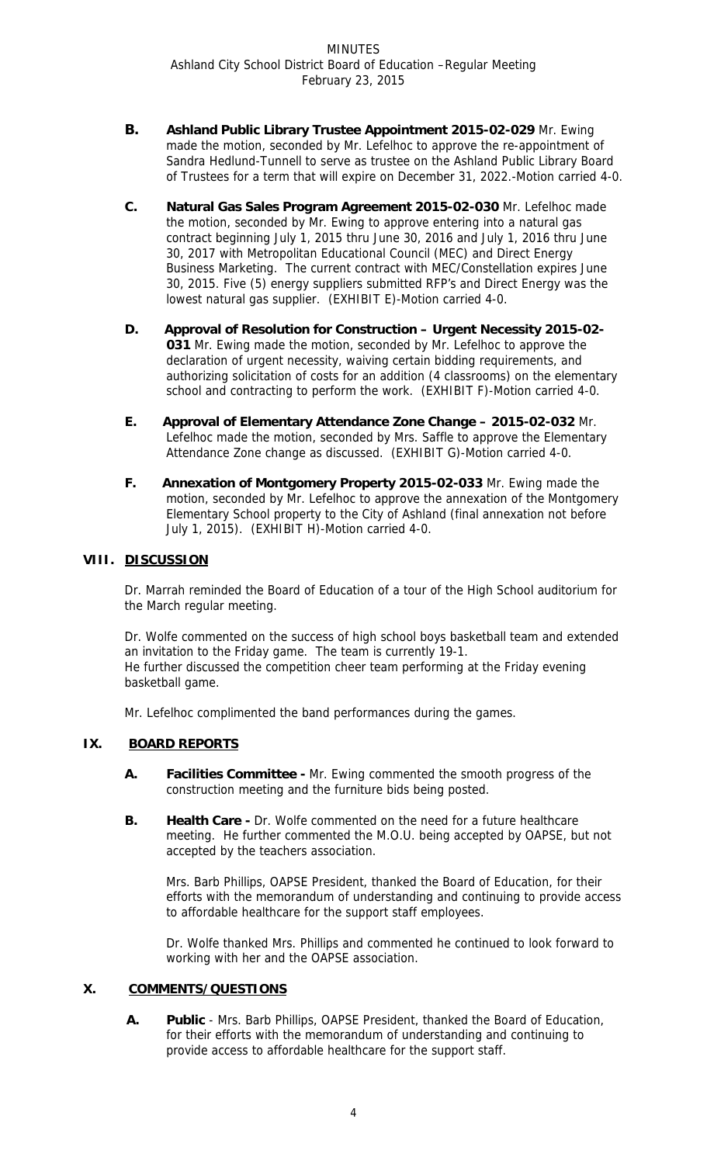- **B. Ashland Public Library Trustee Appointment 2015-02-029** Mr. Ewing made the motion, seconded by Mr. Lefelhoc to approve the re-appointment of Sandra Hedlund-Tunnell to serve as trustee on the Ashland Public Library Board of Trustees for a term that will expire on December 31, 2022.-Motion carried 4-0.
- **C. Natural Gas Sales Program Agreement 2015-02-030** Mr. Lefelhoc made the motion, seconded by Mr. Ewing to approve entering into a natural gas contract beginning July 1, 2015 thru June 30, 2016 and July 1, 2016 thru June 30, 2017 with Metropolitan Educational Council (MEC) and Direct Energy Business Marketing. The current contract with MEC/Constellation expires June 30, 2015. Five (5) energy suppliers submitted RFP's and Direct Energy was the lowest natural gas supplier. (EXHIBIT E)-Motion carried 4-0.
- **D. Approval of Resolution for Construction Urgent Necessity 2015-02- 031** Mr. Ewing made the motion, seconded by Mr. Lefelhoc to approve the declaration of urgent necessity, waiving certain bidding requirements, and authorizing solicitation of costs for an addition (4 classrooms) on the elementary school and contracting to perform the work. (EXHIBIT F)-Motion carried 4-0.
- **E. Approval of Elementary Attendance Zone Change 2015-02-032** Mr. Lefelhoc made the motion, seconded by Mrs. Saffle to approve the Elementary Attendance Zone change as discussed. (EXHIBIT G)-Motion carried 4-0.
- **F. Annexation of Montgomery Property 2015-02-033** Mr. Ewing made the motion, seconded by Mr. Lefelhoc to approve the annexation of the Montgomery Elementary School property to the City of Ashland (final annexation not before July 1, 2015). (EXHIBIT H)-Motion carried 4-0.

# **VIII. DISCUSSION**

Dr. Marrah reminded the Board of Education of a tour of the High School auditorium for the March regular meeting.

Dr. Wolfe commented on the success of high school boys basketball team and extended an invitation to the Friday game. The team is currently 19-1. He further discussed the competition cheer team performing at the Friday evening basketball game.

Mr. Lefelhoc complimented the band performances during the games.

# **IX. BOARD REPORTS**

- **A. Facilities Committee** Mr. Ewing commented the smooth progress of the construction meeting and the furniture bids being posted.
- **B.** Health Care Dr. Wolfe commented on the need for a future healthcare meeting. He further commented the M.O.U. being accepted by OAPSE, but not accepted by the teachers association.

Mrs. Barb Phillips, OAPSE President, thanked the Board of Education, for their efforts with the memorandum of understanding and continuing to provide access to affordable healthcare for the support staff employees.

Dr. Wolfe thanked Mrs. Phillips and commented he continued to look forward to working with her and the OAPSE association.

# **X. COMMENTS/QUESTIONS**

**A. Public** - Mrs. Barb Phillips, OAPSE President, thanked the Board of Education, for their efforts with the memorandum of understanding and continuing to provide access to affordable healthcare for the support staff.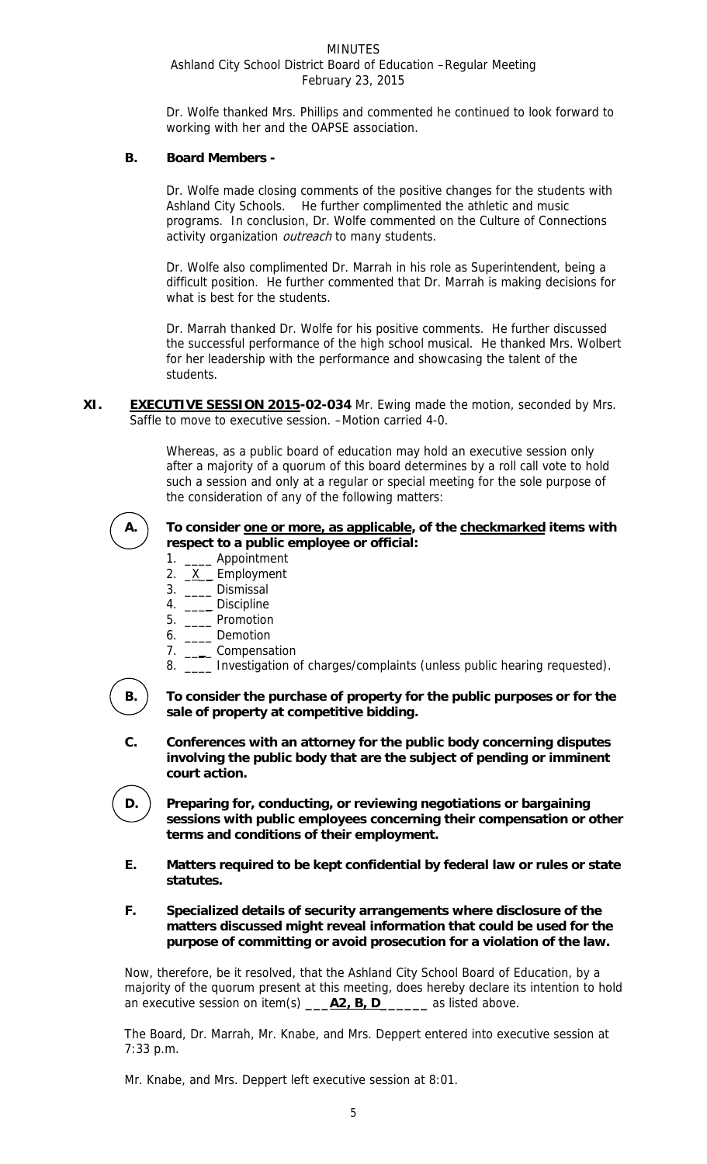Dr. Wolfe thanked Mrs. Phillips and commented he continued to look forward to working with her and the OAPSE association.

## **B. Board Members -**

Dr. Wolfe made closing comments of the positive changes for the students with Ashland City Schools. He further complimented the athletic and music programs. In conclusion, Dr. Wolfe commented on the Culture of Connections activity organization outreach to many students.

Dr. Wolfe also complimented Dr. Marrah in his role as Superintendent, being a difficult position. He further commented that Dr. Marrah is making decisions for what is best for the students.

Dr. Marrah thanked Dr. Wolfe for his positive comments. He further discussed the successful performance of the high school musical. He thanked Mrs. Wolbert for her leadership with the performance and showcasing the talent of the students.

**XI. EXECUTIVE SESSION 2015-02-034** Mr. Ewing made the motion, seconded by Mrs. Saffle to move to executive session. –Motion carried 4-0.

> Whereas, as a public board of education may hold an executive session only after a majority of a quorum of this board determines by a roll call vote to hold such a session and only at a regular or special meeting for the sole purpose of the consideration of any of the following matters:



A. To consider one or more, as applicable, of the checkmarked items with **respect to a public employee or official:** 

- 1. \_\_\_\_\_ Appointment
- 2. <u>X</u> Employment
	- 3. \_\_\_\_ Dismissal
	- 4. \_\_\_\_\_ Discipline
	- 5. \_\_\_\_ Promotion
	- 6. \_\_\_\_ Demotion
	- 7. \_\_\_\_ Compensation
	- 8. \_\_\_\_ Investigation of charges/complaints (unless public hearing requested).

**B. To consider the purchase of property for the public purposes or for the sale of property at competitive bidding.** 

- **C. Conferences with an attorney for the public body concerning disputes involving the public body that are the subject of pending or imminent court action.**
- **D.** ) Preparing for, conducting, or reviewing negotiations or bargaining **sessions with public employees concerning their compensation or other terms and conditions of their employment.**
- **E. Matters required to be kept confidential by federal law or rules or state statutes.**
- **F. Specialized details of security arrangements where disclosure of the matters discussed might reveal information that could be used for the purpose of committing or avoid prosecution for a violation of the law.**

Now, therefore, be it resolved, that the Ashland City School Board of Education, by a majority of the quorum present at this meeting, does hereby declare its intention to hold an executive session on item(s) **\_\_\_A2, B, D\_\_\_\_\_\_** as listed above.

The Board, Dr. Marrah, Mr. Knabe, and Mrs. Deppert entered into executive session at 7:33 p.m.

Mr. Knabe, and Mrs. Deppert left executive session at 8:01.